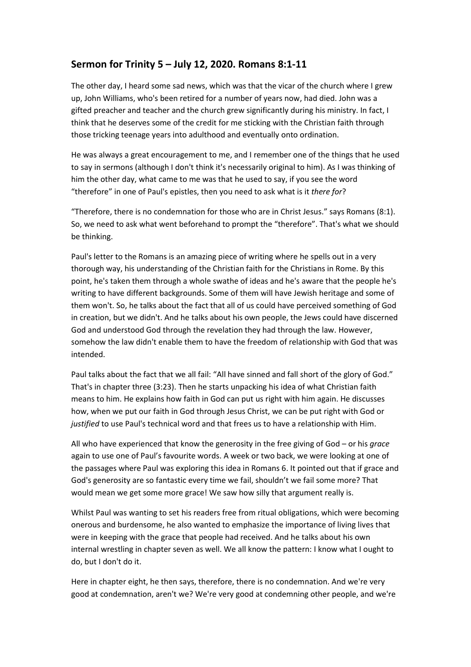## **Sermon for Trinity 5 – July 12, 2020. Romans 8:1-11**

The other day, I heard some sad news, which was that the vicar of the church where I grew up, John Williams, who's been retired for a number of years now, had died. John was a gifted preacher and teacher and the church grew significantly during his ministry. In fact, I think that he deserves some of the credit for me sticking with the Christian faith through those tricking teenage years into adulthood and eventually onto ordination.

He was always a great encouragement to me, and I remember one of the things that he used to say in sermons (although I don't think it's necessarily original to him). As I was thinking of him the other day, what came to me was that he used to say, if you see the word "therefore" in one of Paul's epistles, then you need to ask what is it *there for*?

"Therefore, there is no condemnation for those who are in Christ Jesus." says Romans (8:1). So, we need to ask what went beforehand to prompt the "therefore". That's what we should be thinking.

Paul's letter to the Romans is an amazing piece of writing where he spells out in a very thorough way, his understanding of the Christian faith for the Christians in Rome. By this point, he's taken them through a whole swathe of ideas and he's aware that the people he's writing to have different backgrounds. Some of them will have Jewish heritage and some of them won't. So, he talks about the fact that all of us could have perceived something of God in creation, but we didn't. And he talks about his own people, the Jews could have discerned God and understood God through the revelation they had through the law. However, somehow the law didn't enable them to have the freedom of relationship with God that was intended.

Paul talks about the fact that we all fail: "All have sinned and fall short of the glory of God." That's in chapter three (3:23). Then he starts unpacking his idea of what Christian faith means to him. He explains how faith in God can put us right with him again. He discusses how, when we put our faith in God through Jesus Christ, we can be put right with God or *justified* to use Paul's technical word and that frees us to have a relationship with Him.

All who have experienced that know the generosity in the free giving of God – or his *grace*  again to use one of Paul's favourite words. A week or two back, we were looking at one of the passages where Paul was exploring this idea in Romans 6. It pointed out that if grace and God's generosity are so fantastic every time we fail, shouldn't we fail some more? That would mean we get some more grace! We saw how silly that argument really is.

Whilst Paul was wanting to set his readers free from ritual obligations, which were becoming onerous and burdensome, he also wanted to emphasize the importance of living lives that were in keeping with the grace that people had received. And he talks about his own internal wrestling in chapter seven as well. We all know the pattern: I know what I ought to do, but I don't do it.

Here in chapter eight, he then says, therefore, there is no condemnation. And we're very good at condemnation, aren't we? We're very good at condemning other people, and we're